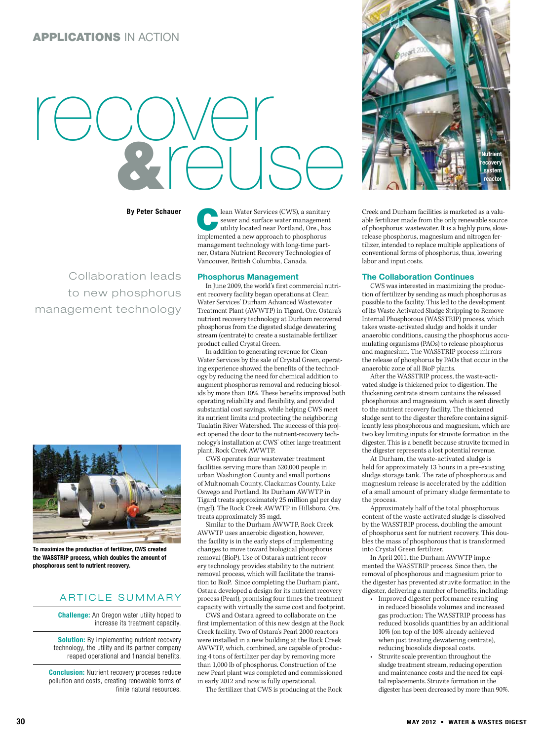# recover &reuse

By Peter Schauer

Collaboration leads to new phosphorus management technology



To maximize the production of fertilizer, CWS created the WASSTRIP process, which doubles the amount of phosphorous sent to nutrient recovery.

## ARTICLE SUMMARY

**Challenge:** An Oregon water utility hoped to increase its treatment capacity.

**Solution:** By implementing nutrient recovery technology, the utility and its partner company reaped operational and financial benefits.

**Conclusion:** Nutrient recovery proceses reduce pollution and costs, creating renewable forms of finite natural resources. **Lean Water Services (CWS), a sanitary<br>
sewer and surface water management<br>
utility located near Portland, Ore., has<br>
implemented a new entreach to phosphorus** sewer and surface water management implemented a new approach to phosphorus management technology with long-time partner, Ostara Nutrient Recovery Technologies of Vancouver, British Columbia, Canada.

#### Phosphorus Management

In June 2009, the world's first commercial nutrient recovery facility began operations at Clean Water Services' Durham Advanced Wastewater Treatment Plant (AWWTP) in Tigard, Ore. Ostara's nutrient recovery technology at Durham recovered phosphorus from the digested sludge dewatering stream (centrate) to create a sustainable fertilizer product called Crystal Green.

In addition to generating revenue for Clean Water Services by the sale of Crystal Green, operating experience showed the benefits of the technology by reducing the need for chemical addition to augment phosphorus removal and reducing biosolids by more than 10%. These benefits improved both operating reliability and flexibility, and provided substantial cost savings, while helping CWS meet its nutrient limits and protecting the neighboring Tualatin River Watershed. The success of this project opened the door to the nutrient-recovery technology's installation at CWS' other large treatment plant, Rock Creek AWWTP.

CWS operates four wastewater treatment facilities serving more than 520,000 people in urban Washington County and small portions of Multnomah County, Clackamas County, Lake Oswego and Portland. Its Durham AWWTP in Tigard treats approximately 25 million gal per day (mgd). The Rock Creek AWWTP in Hillsboro, Ore. treats approximately 35 mgd.

Similar to the Durham AWWTP, Rock Creek AWWTP uses anaerobic digestion, however, the facility is in the early steps of implementing changes to move toward biological phosphorus removal (BioP). Use of Ostara's nutrient recovery technology provides stability to the nutrient removal process, which will facilitate the transition to BioP. Since completing the Durham plant, Ostara developed a design for its nutrient recovery process (Pearl), promising four times the treatment capacity with virtually the same cost and footprint.

CWS and Ostara agreed to collaborate on the first implementation of this new design at the Rock Creek facility. Two of Ostara's Pearl 2000 reactors were installed in a new building at the Rock Creek AWWTP, which, combined, are capable of producing 4 tons of fertilizer per day by removing more than 1,000 lb of phosphorus. Construction of the new Pearl plant was completed and commissioned in early 2012 and now is fully operational.

The fertilizer that CWS is producing at the Rock



Creek and Durham facilities is marketed as a valuable fertilizer made from the only renewable source of phosphorus: wastewater. It is a highly pure, slowrelease phosphorus, magnesium and nitrogen fertilizer, intended to replace multiple applications of conventional forms of phosphorus, thus, lowering labor and input costs.

### The Collaboration Continues

CWS was interested in maximizing the production of fertilizer by sending as much phosphorus as possible to the facility. This led to the development of its Waste Activated Sludge Stripping to Remove Internal Phosphorous (WASSTRIP) process, which takes waste-activated sludge and holds it under anaerobic conditions, causing the phosphorus accumulating organisms (PAOs) to release phosphorus and magnesium. The WASSTRIP process mirrors the release of phosphorus by PAOs that occur in the anaerobic zone of all BioP plants.

After the WASSTRIP process, the waste-activated sludge is thickened prior to digestion. The thickening centrate stream contains the released phosphorous and magnesium, which is sent directly to the nutrient recovery facility. The thickened sludge sent to the digester therefore contains significantly less phosphorous and magnesium, which are two key limiting inputs for struvite formation in the digester. This is a benefit because struvite formed in the digester represents a lost potential revenue.

At Durham, the waste-activated sludge is held for approximately 13 hours in a pre-existing sludge storage tank. The rate of phosphorous and magnesium release is accelerated by the addition of a small amount of primary sludge fermentate to the process.

Approximately half of the total phosphorous content of the waste-activated sludge is dissolved by the WASSTRIP process, doubling the amount of phosphorus sent for nutrient recovery. This doubles the mass of phosphorous that is transformed into Crystal Green fertilizer.

In April 2011, the Durham AWWTP implemented the WASSTRIP process. Since then, the removal of phosphorous and magnesium prior to the digester has prevented struvite formation in the digester, delivering a number of benefits, including:

- Improved digester performance resulting in reduced biosolids volumes and increased gas production: The WASSTRIP process has reduced biosolids quantities by an additional 10% (on top of the 10% already achieved when just treating dewatering centrate), reducing biosolids disposal costs.
- Struvite scale prevention throughout the sludge treatment stream, reducing operation and maintenance costs and the need for capital replacements. Struvite formation in the digester has been decreased by more than 90%.